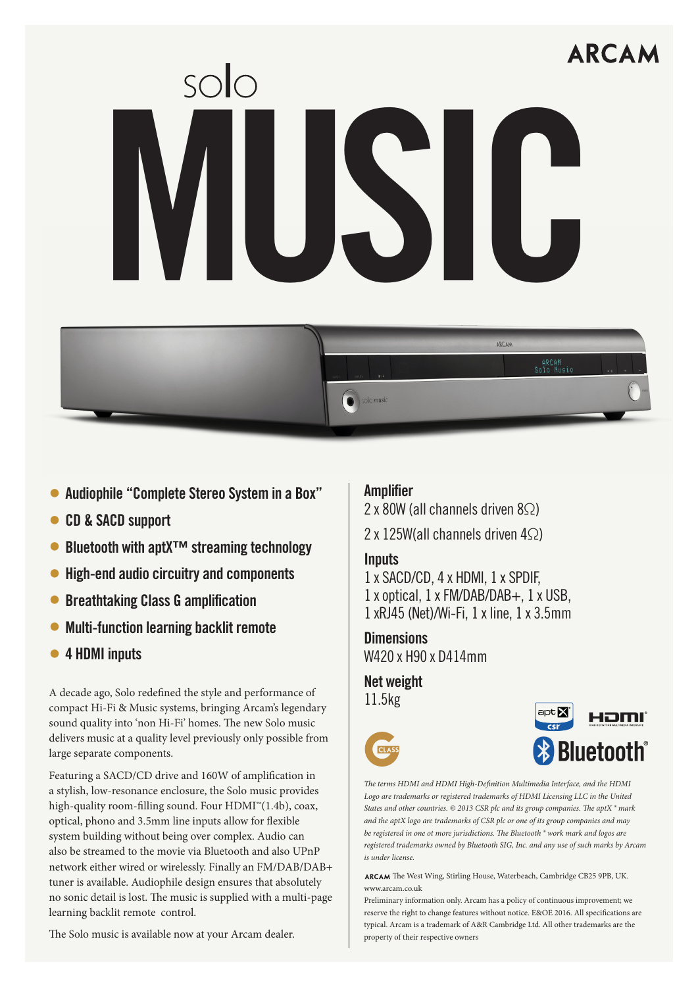# **ARCAN** MUSIC



- Audiophile "Complete Stereo System in a Box"
- CD & SACD support
- Bluetooth with aptX™ streaming technology
- High-end audio circuitry and components
- Breathtaking Class G amplification
- Multi-function learning backlit remote
- 4 HDMI inputs

A decade ago, Solo redefined the style and performance of 11.5kg compact Hi-Fi & Music systems, bringing Arcam's legendary sound quality into 'non Hi-Fi' homes. The new Solo music delivers music at a quality level previously only possible from large separate components.

Featuring a SACD/CD drive and 160W of amplification in a stylish, low-resonance enclosure, the Solo music provides high-quality room-filling sound. Four HDMI™(1.4b), coax, optical, phono and 3.5mm line inputs allow for flexible system building without being over complex. Audio can also be streamed to the movie via Bluetooth and also UPnP network either wired or wirelessly. Finally an FM/DAB/DAB+ tuner is available. Audiophile design ensures that absolutely no sonic detail is lost. The music is supplied with a multi-page learning backlit remote control.

The Solo music is available now at your Arcam dealer.

## Amplifier

2 x 80W (all channels driven 8♡)

2 x 125W(all channels driven 4Ω)

### **Inputs**

1 x SACD/CD, 4 x HDMI, 1 x SPDIF, 1 x optical, 1 x FM/DAB/DAB+, 1 x USB, 1 xRJ45 (Net)/Wi-Fi, 1 x line, 1 x 3.5mm

**Dimensions** W420 x H90 x D414mm

Net weight



*The terms HDMI and HDMI High-Definition Multimedia Interface, and the HDMI Logo are trademarks or registered trademarks of HDMI Licensing LLC in the United States and other countries. © 2013 CSR plc and its group companies. The aptX ® mark and the aptX logo are trademarks of CSR plc or one of its group companies and may be registered in one ot more jurisdictions. The Bluetooth ® work mark and logos are registered trademarks owned by Bluetooth SIG, Inc. and any use of such marks by Arcam is under license.*

**arcam**, The West Wing, Stirling House, Waterbeach, Cambridge CB25 9PB, UK. www.arcam.co.uk

Preliminary information only. Arcam has a policy of continuous improvement; we reserve the right to change features without notice. E&OE 2016. All specifications are typical. Arcam is a trademark of A&R Cambridge Ltd. All other trademarks are the property of their respective owners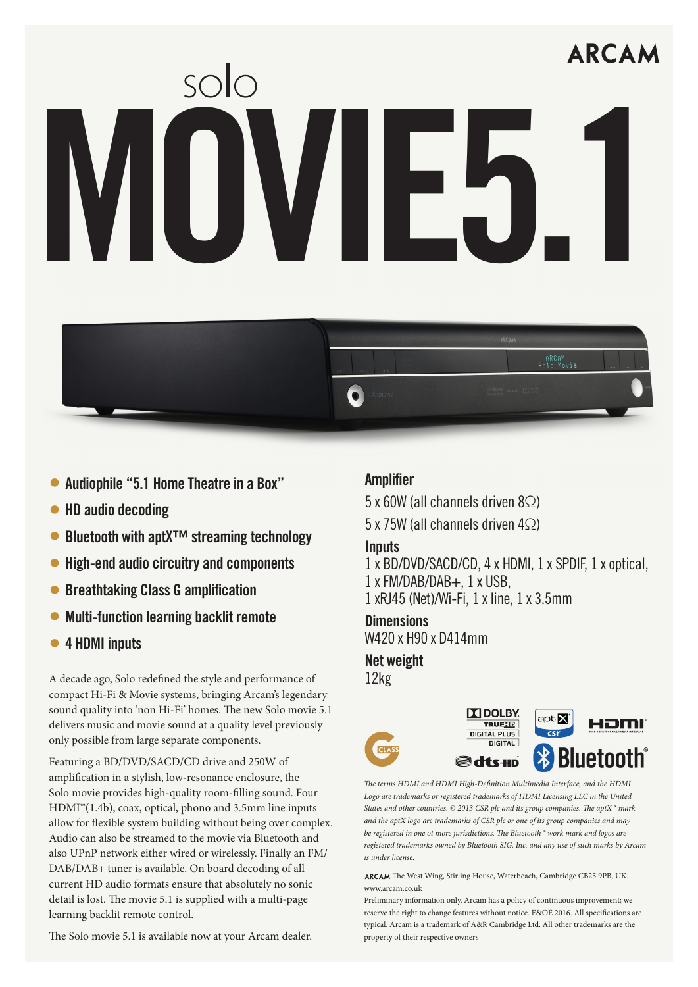# **ARCAM** WOWIE5



- HD audio decoding
- Bluetooth with aptX™ streaming technology
- High-end audio circuitry and components
- Breathtaking Class G amplification
- Multi-function learning backlit remote
- 4 HDMI inputs

A decade ago, Solo redefined the style and performance of 12kg compact Hi-Fi & Movie systems, bringing Arcam's legendary sound quality into 'non Hi-Fi' homes. The new Solo movie 5.1 delivers music and movie sound at a quality level previously only possible from large separate components.

Featuring a BD/DVD/SACD/CD drive and 250W of amplification in a stylish, low-resonance enclosure, the Solo movie provides high-quality room-filling sound. Four  $HDMI<sup>m</sup>(1.4b)$ , coax, optical, phono and 3.5mm line inputs allow for flexible system building without being over complex. Audio can also be streamed to the movie via Bluetooth and also UPnP network either wired or wirelessly. Finally an FM/ DAB/DAB+ tuner is available. On board decoding of all current HD audio formats ensure that absolutely no sonic detail is lost. The movie 5.1 is supplied with a multi-page learning backlit remote control.

The Solo movie 5.1 is available now at your Arcam dealer.

## **Amplifier**

5 x 60W (all channels driven 8Ω) 5 x 75W (all channels driven 4Ω)

### **Innuts**

1 x BD/DVD/SACD/CD, 4 x HDMI, 1 x SPDIF, 1 x optical, 1 x FM/DAB/DAB+, 1 x USB, 1 xRJ45 (Net)/Wi-Fi, 1 x line, 1 x 3.5mm

**Dimensions** W420 x H90 x D414mm

Net weight





ARCAM<br>Solo Movie

*The terms HDMI and HDMI High-Definition Multimedia Interface, and the HDMI Logo are trademarks or registered trademarks of HDMI Licensing LLC in the United States and other countries. © 2013 CSR plc and its group companies. The aptX ® mark and the aptX logo are trademarks of CSR plc or one of its group companies and may be registered in one ot more jurisdictions. The Bluetooth ® work mark and logos are registered trademarks owned by Bluetooth SIG, Inc. and any use of such marks by Arcam is under license.*

**arcam**, The West Wing, Stirling House, Waterbeach, Cambridge CB25 9PB, UK. www.arcam.co.uk

Preliminary information only. Arcam has a policy of continuous improvement; we reserve the right to change features without notice. E&OE 2016. All specifications are typical. Arcam is a trademark of A&R Cambridge Ltd. All other trademarks are the property of their respective owners